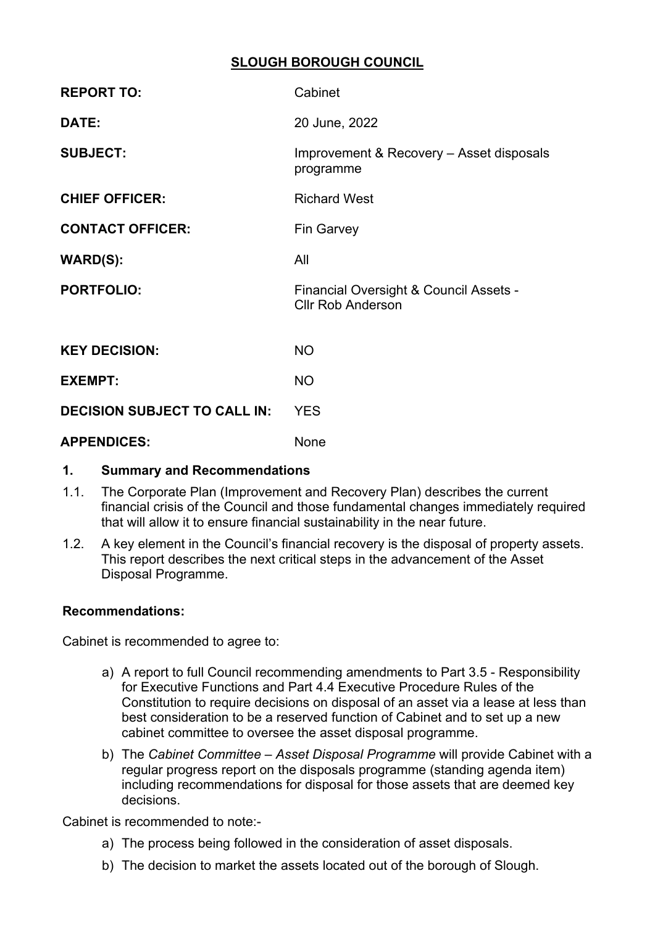# **SLOUGH BOROUGH COUNCIL**

| <b>REPORT TO:</b>                   | Cabinet                                                            |
|-------------------------------------|--------------------------------------------------------------------|
| DATE:                               | 20 June, 2022                                                      |
| <b>SUBJECT:</b>                     | Improvement & Recovery - Asset disposals<br>programme              |
| <b>CHIEF OFFICER:</b>               | <b>Richard West</b>                                                |
| <b>CONTACT OFFICER:</b>             | <b>Fin Garvey</b>                                                  |
| <b>WARD(S):</b>                     | All                                                                |
| <b>PORTFOLIO:</b>                   | Financial Oversight & Council Assets -<br><b>Cllr Rob Anderson</b> |
| <b>KEY DECISION:</b>                | <b>NO</b>                                                          |
| <b>EXEMPT:</b>                      | <b>NO</b>                                                          |
| <b>DECISION SUBJECT TO CALL IN:</b> | <b>YES</b>                                                         |
| <b>APPFNDICFS:</b>                  | None                                                               |

# **1. Summary and Recommendations**

- 1.1. The Corporate Plan (Improvement and Recovery Plan) describes the current financial crisis of the Council and those fundamental changes immediately required that will allow it to ensure financial sustainability in the near future.
- 1.2. A key element in the Council's financial recovery is the disposal of property assets. This report describes the next critical steps in the advancement of the Asset Disposal Programme.

#### **Recommendations:**

Cabinet is recommended to agree to:

- a) A report to full Council recommending amendments to Part 3.5 Responsibility for Executive Functions and Part 4.4 Executive Procedure Rules of the Constitution to require decisions on disposal of an asset via a lease at less than best consideration to be a reserved function of Cabinet and to set up a new cabinet committee to oversee the asset disposal programme.
- b) The *Cabinet Committee – Asset Disposal Programme* will provide Cabinet with a regular progress report on the disposals programme (standing agenda item) including recommendations for disposal for those assets that are deemed key decisions.

Cabinet is recommended to note:-

- a) The process being followed in the consideration of asset disposals.
- b) The decision to market the assets located out of the borough of Slough.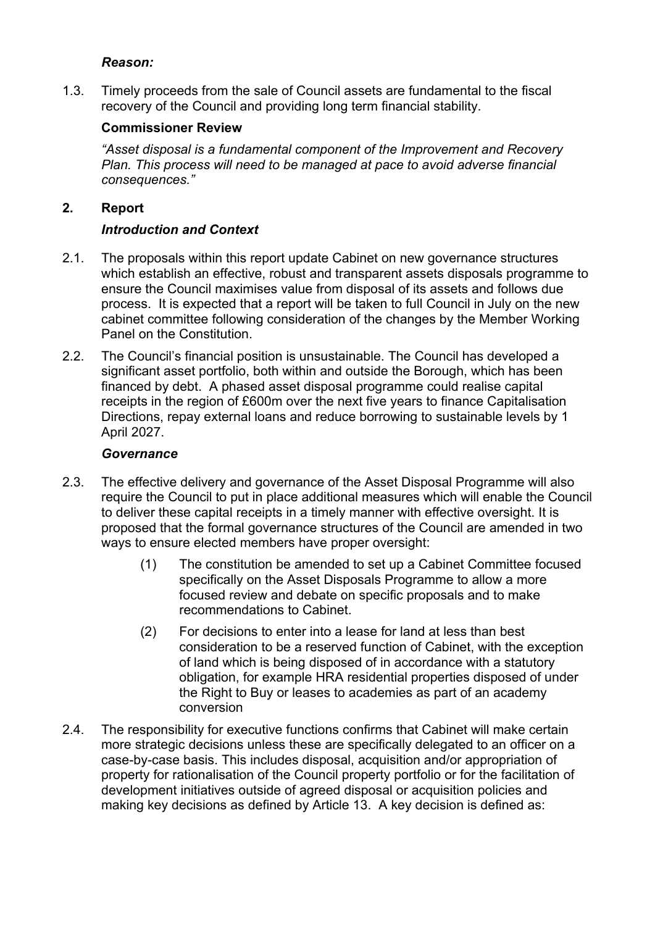#### *Reason:*

1.3. Timely proceeds from the sale of Council assets are fundamental to the fiscal recovery of the Council and providing long term financial stability.

# **Commissioner Review**

*"Asset disposal is a fundamental component of the Improvement and Recovery Plan. This process will need to be managed at pace to avoid adverse financial consequences."*

## **2. Report**

## *Introduction and Context*

- 2.1. The proposals within this report update Cabinet on new governance structures which establish an effective, robust and transparent assets disposals programme to ensure the Council maximises value from disposal of its assets and follows due process. It is expected that a report will be taken to full Council in July on the new cabinet committee following consideration of the changes by the Member Working Panel on the Constitution.
- 2.2. The Council's financial position is unsustainable. The Council has developed a significant asset portfolio, both within and outside the Borough, which has been financed by debt. A phased asset disposal programme could realise capital receipts in the region of £600m over the next five years to finance Capitalisation Directions, repay external loans and reduce borrowing to sustainable levels by 1 April 2027.

#### *Governance*

- 2.3. The effective delivery and governance of the Asset Disposal Programme will also require the Council to put in place additional measures which will enable the Council to deliver these capital receipts in a timely manner with effective oversight. It is proposed that the formal governance structures of the Council are amended in two ways to ensure elected members have proper oversight:
	- (1) The constitution be amended to set up a Cabinet Committee focused specifically on the Asset Disposals Programme to allow a more focused review and debate on specific proposals and to make recommendations to Cabinet.
	- (2) For decisions to enter into a lease for land at less than best consideration to be a reserved function of Cabinet, with the exception of land which is being disposed of in accordance with a statutory obligation, for example HRA residential properties disposed of under the Right to Buy or leases to academies as part of an academy conversion
- 2.4. The responsibility for executive functions confirms that Cabinet will make certain more strategic decisions unless these are specifically delegated to an officer on a case-by-case basis. This includes disposal, acquisition and/or appropriation of property for rationalisation of the Council property portfolio or for the facilitation of development initiatives outside of agreed disposal or acquisition policies and making key decisions as defined by Article 13. A key decision is defined as: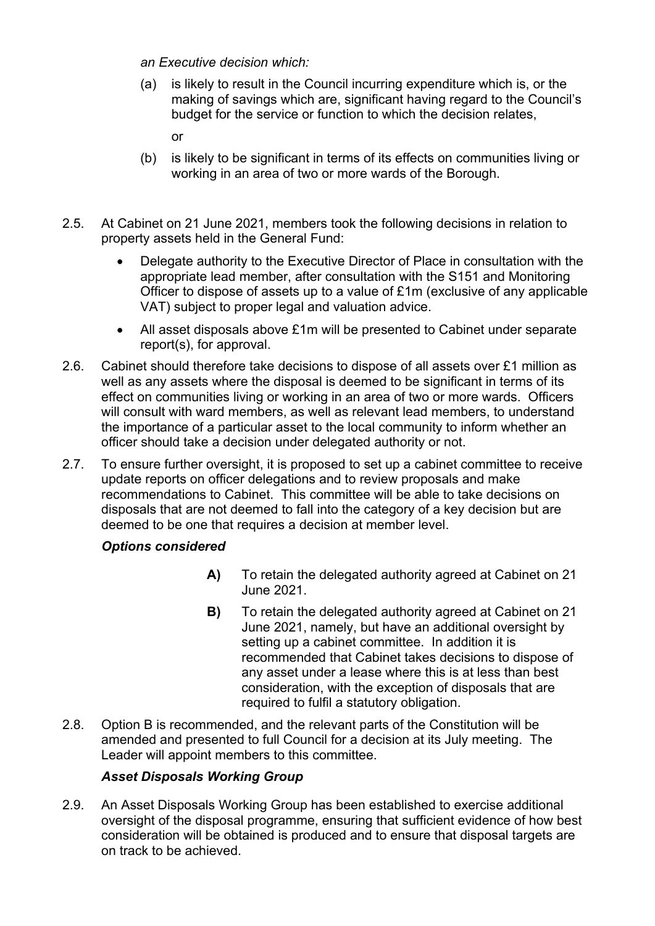*an Executive decision which:*

- (a) is likely to result in the Council incurring expenditure which is, or the making of savings which are, significant having regard to the Council's budget for the service or function to which the decision relates,
	- or
- (b) is likely to be significant in terms of its effects on communities living or working in an area of two or more wards of the Borough.
- 2.5. At Cabinet on 21 June 2021, members took the following decisions in relation to property assets held in the General Fund:
	- Delegate authority to the Executive Director of Place in consultation with the appropriate lead member, after consultation with the S151 and Monitoring Officer to dispose of assets up to a value of £1m (exclusive of any applicable VAT) subject to proper legal and valuation advice.
	- All asset disposals above £1m will be presented to Cabinet under separate report(s), for approval.
- 2.6. Cabinet should therefore take decisions to dispose of all assets over £1 million as well as any assets where the disposal is deemed to be significant in terms of its effect on communities living or working in an area of two or more wards. Officers will consult with ward members, as well as relevant lead members, to understand the importance of a particular asset to the local community to inform whether an officer should take a decision under delegated authority or not.
- 2.7. To ensure further oversight, it is proposed to set up a cabinet committee to receive update reports on officer delegations and to review proposals and make recommendations to Cabinet. This committee will be able to take decisions on disposals that are not deemed to fall into the category of a key decision but are deemed to be one that requires a decision at member level.

# *Options considered*

- **A)** To retain the delegated authority agreed at Cabinet on 21 June 2021.
- **B)** To retain the delegated authority agreed at Cabinet on 21 June 2021, namely, but have an additional oversight by setting up a cabinet committee. In addition it is recommended that Cabinet takes decisions to dispose of any asset under a lease where this is at less than best consideration, with the exception of disposals that are required to fulfil a statutory obligation.
- 2.8. Option B is recommended, and the relevant parts of the Constitution will be amended and presented to full Council for a decision at its July meeting. The Leader will appoint members to this committee.

### *Asset Disposals Working Group*

2.9. An Asset Disposals Working Group has been established to exercise additional oversight of the disposal programme, ensuring that sufficient evidence of how best consideration will be obtained is produced and to ensure that disposal targets are on track to be achieved.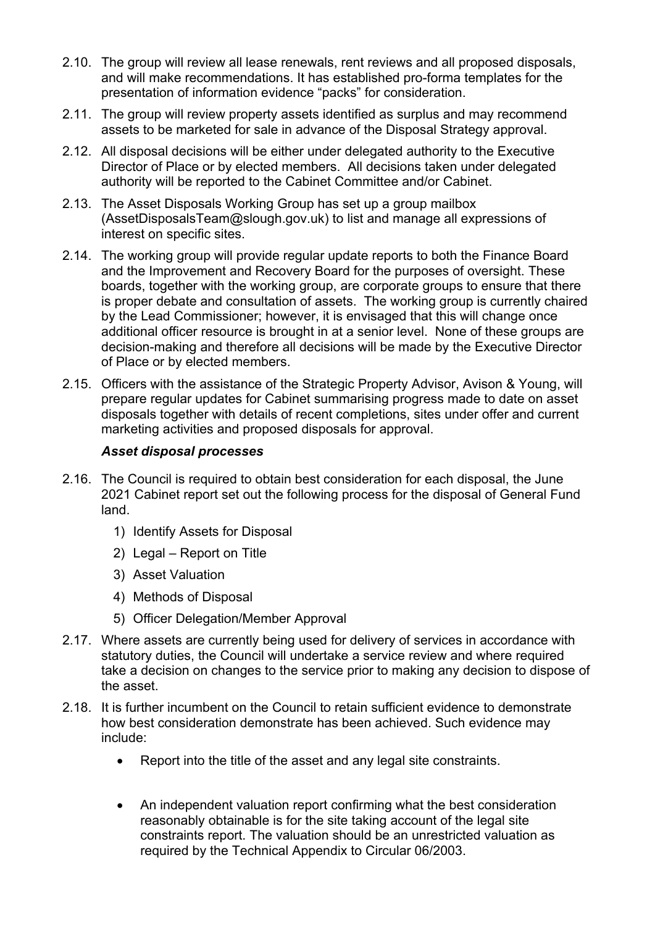- 2.10. The group will review all lease renewals, rent reviews and all proposed disposals, and will make recommendations. It has established pro-forma templates for the presentation of information evidence "packs" for consideration.
- 2.11. The group will review property assets identified as surplus and may recommend assets to be marketed for sale in advance of the Disposal Strategy approval.
- 2.12. All disposal decisions will be either under delegated authority to the Executive Director of Place or by elected members. All decisions taken under delegated authority will be reported to the Cabinet Committee and/or Cabinet.
- 2.13. The Asset Disposals Working Group has set up a group mailbox (AssetDisposalsTeam@slough.gov.uk) to list and manage all expressions of interest on specific sites.
- 2.14. The working group will provide regular update reports to both the Finance Board and the Improvement and Recovery Board for the purposes of oversight. These boards, together with the working group, are corporate groups to ensure that there is proper debate and consultation of assets. The working group is currently chaired by the Lead Commissioner; however, it is envisaged that this will change once additional officer resource is brought in at a senior level. None of these groups are decision-making and therefore all decisions will be made by the Executive Director of Place or by elected members.
- 2.15. Officers with the assistance of the Strategic Property Advisor, Avison & Young, will prepare regular updates for Cabinet summarising progress made to date on asset disposals together with details of recent completions, sites under offer and current marketing activities and proposed disposals for approval.

#### *Asset disposal processes*

- 2.16. The Council is required to obtain best consideration for each disposal, the June 2021 Cabinet report set out the following process for the disposal of General Fund land.
	- 1) Identify Assets for Disposal
	- 2) Legal Report on Title
	- 3) Asset Valuation
	- 4) Methods of Disposal
	- 5) Officer Delegation/Member Approval
- 2.17. Where assets are currently being used for delivery of services in accordance with statutory duties, the Council will undertake a service review and where required take a decision on changes to the service prior to making any decision to dispose of the asset.
- 2.18. It is further incumbent on the Council to retain sufficient evidence to demonstrate how best consideration demonstrate has been achieved. Such evidence may include:
	- Report into the title of the asset and any legal site constraints.
	- An independent valuation report confirming what the best consideration reasonably obtainable is for the site taking account of the legal site constraints report. The valuation should be an unrestricted valuation as required by the Technical Appendix to Circular 06/2003.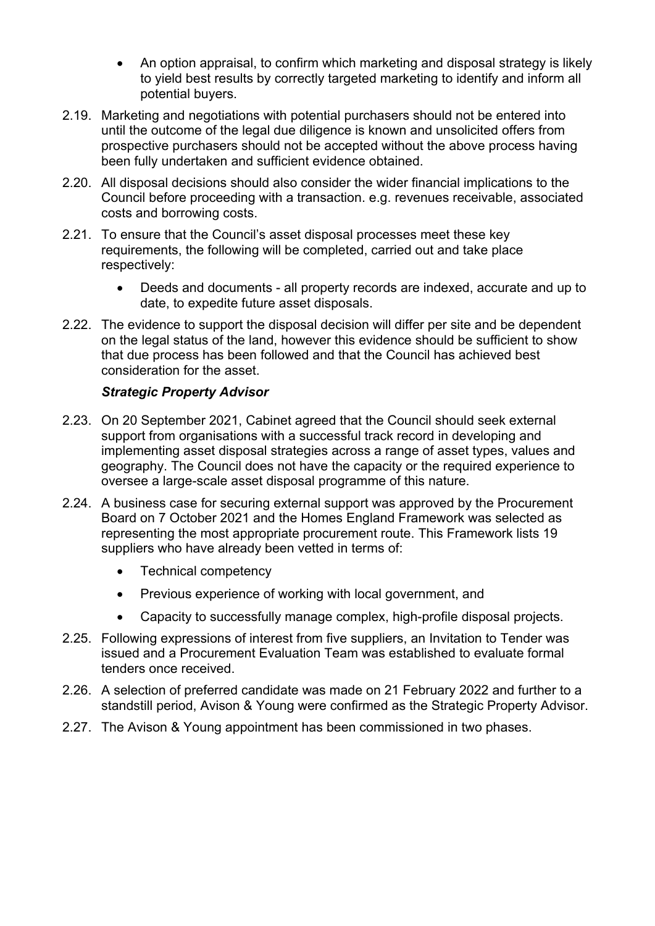- An option appraisal, to confirm which marketing and disposal strategy is likely to yield best results by correctly targeted marketing to identify and inform all potential buyers.
- 2.19. Marketing and negotiations with potential purchasers should not be entered into until the outcome of the legal due diligence is known and unsolicited offers from prospective purchasers should not be accepted without the above process having been fully undertaken and sufficient evidence obtained.
- 2.20. All disposal decisions should also consider the wider financial implications to the Council before proceeding with a transaction. e.g. revenues receivable, associated costs and borrowing costs.
- 2.21. To ensure that the Council's asset disposal processes meet these key requirements, the following will be completed, carried out and take place respectively:
	- Deeds and documents all property records are indexed, accurate and up to date, to expedite future asset disposals.
- 2.22. The evidence to support the disposal decision will differ per site and be dependent on the legal status of the land, however this evidence should be sufficient to show that due process has been followed and that the Council has achieved best consideration for the asset.

#### *Strategic Property Advisor*

- 2.23. On 20 September 2021, Cabinet agreed that the Council should seek external support from organisations with a successful track record in developing and implementing asset disposal strategies across a range of asset types, values and geography. The Council does not have the capacity or the required experience to oversee a large-scale asset disposal programme of this nature.
- 2.24. A business case for securing external support was approved by the Procurement Board on 7 October 2021 and the Homes England Framework was selected as representing the most appropriate procurement route. This Framework lists 19 suppliers who have already been vetted in terms of:
	- Technical competency
	- Previous experience of working with local government, and
	- Capacity to successfully manage complex, high-profile disposal projects.
- 2.25. Following expressions of interest from five suppliers, an Invitation to Tender was issued and a Procurement Evaluation Team was established to evaluate formal tenders once received.
- 2.26. A selection of preferred candidate was made on 21 February 2022 and further to a standstill period, Avison & Young were confirmed as the Strategic Property Advisor.
- 2.27. The Avison & Young appointment has been commissioned in two phases.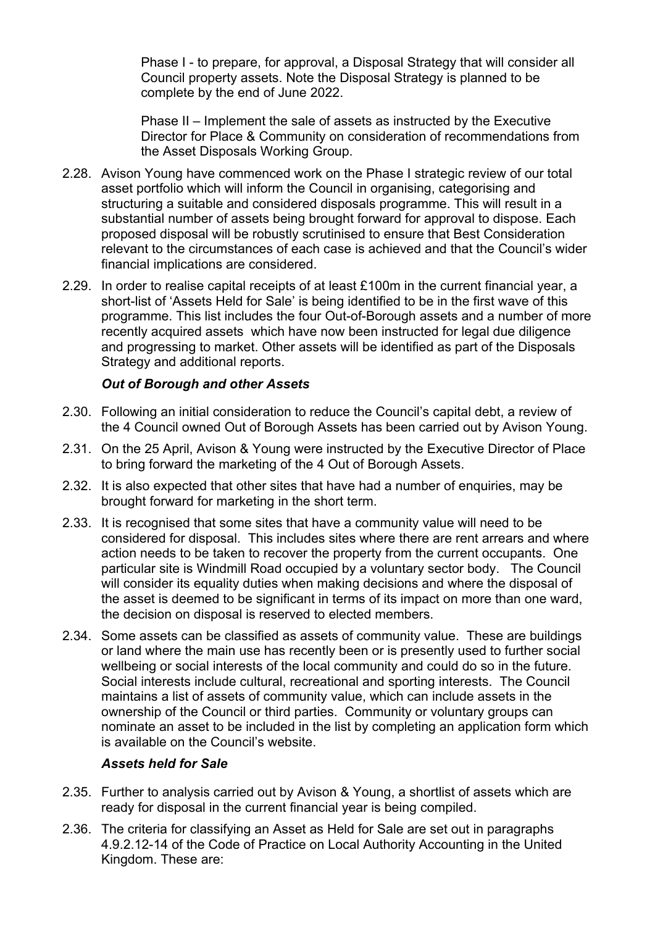Phase I - to prepare, for approval, a Disposal Strategy that will consider all Council property assets. Note the Disposal Strategy is planned to be complete by the end of June 2022.

Phase II – Implement the sale of assets as instructed by the Executive Director for Place & Community on consideration of recommendations from the Asset Disposals Working Group.

- 2.28. Avison Young have commenced work on the Phase I strategic review of our total asset portfolio which will inform the Council in organising, categorising and structuring a suitable and considered disposals programme. This will result in a substantial number of assets being brought forward for approval to dispose. Each proposed disposal will be robustly scrutinised to ensure that Best Consideration relevant to the circumstances of each case is achieved and that the Council's wider financial implications are considered.
- 2.29. In order to realise capital receipts of at least £100m in the current financial year, a short-list of 'Assets Held for Sale' is being identified to be in the first wave of this programme. This list includes the four Out-of-Borough assets and a number of more recently acquired assets which have now been instructed for legal due diligence and progressing to market. Other assets will be identified as part of the Disposals Strategy and additional reports.

### *Out of Borough and other Assets*

- 2.30. Following an initial consideration to reduce the Council's capital debt, a review of the 4 Council owned Out of Borough Assets has been carried out by Avison Young.
- 2.31. On the 25 April, Avison & Young were instructed by the Executive Director of Place to bring forward the marketing of the 4 Out of Borough Assets.
- 2.32. It is also expected that other sites that have had a number of enquiries, may be brought forward for marketing in the short term.
- 2.33. It is recognised that some sites that have a community value will need to be considered for disposal. This includes sites where there are rent arrears and where action needs to be taken to recover the property from the current occupants. One particular site is Windmill Road occupied by a voluntary sector body. The Council will consider its equality duties when making decisions and where the disposal of the asset is deemed to be significant in terms of its impact on more than one ward. the decision on disposal is reserved to elected members.
- 2.34. Some assets can be classified as assets of community value. These are buildings or land where the main use has recently been or is presently used to further social wellbeing or social interests of the local community and could do so in the future. Social interests include cultural, recreational and sporting interests. The Council maintains a list of assets of community value, which can include assets in the ownership of the Council or third parties. Community or voluntary groups can nominate an asset to be included in the list by completing an application form which is available on the Council's website.

#### *Assets held for Sale*

- 2.35. Further to analysis carried out by Avison & Young, a shortlist of assets which are ready for disposal in the current financial year is being compiled.
- 2.36. The criteria for classifying an Asset as Held for Sale are set out in paragraphs 4.9.2.12-14 of the Code of Practice on Local Authority Accounting in the United Kingdom. These are: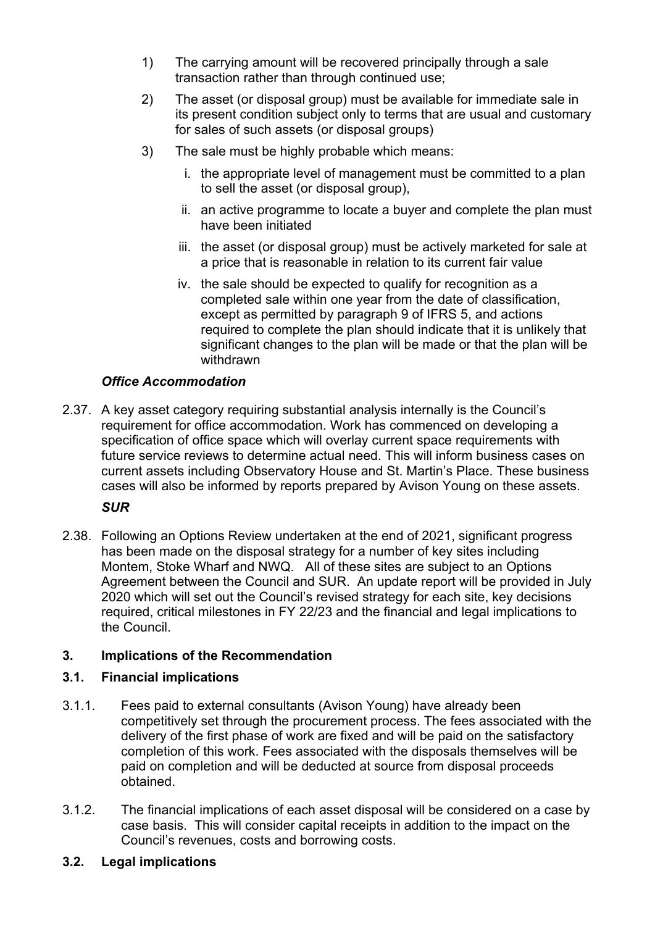- 1) The carrying amount will be recovered principally through a sale transaction rather than through continued use;
- 2) The asset (or disposal group) must be available for immediate sale in its present condition subject only to terms that are usual and customary for sales of such assets (or disposal groups)
- 3) The sale must be highly probable which means:
	- i. the appropriate level of management must be committed to a plan to sell the asset (or disposal group),
	- ii. an active programme to locate a buyer and complete the plan must have been initiated
	- iii. the asset (or disposal group) must be actively marketed for sale at a price that is reasonable in relation to its current fair value
	- iv. the sale should be expected to qualify for recognition as a completed sale within one year from the date of classification, except as permitted by paragraph 9 of IFRS 5, and actions required to complete the plan should indicate that it is unlikely that significant changes to the plan will be made or that the plan will be withdrawn

## *Office Accommodation*

2.37. A key asset category requiring substantial analysis internally is the Council's requirement for office accommodation. Work has commenced on developing a specification of office space which will overlay current space requirements with future service reviews to determine actual need. This will inform business cases on current assets including Observatory House and St. Martin's Place. These business cases will also be informed by reports prepared by Avison Young on these assets.

### *SUR*

2.38. Following an Options Review undertaken at the end of 2021, significant progress has been made on the disposal strategy for a number of key sites including Montem, Stoke Wharf and NWQ. All of these sites are subject to an Options Agreement between the Council and SUR. An update report will be provided in July 2020 which will set out the Council's revised strategy for each site, key decisions required, critical milestones in FY 22/23 and the financial and legal implications to the Council.

### **3. Implications of the Recommendation**

### **3.1. Financial implications**

- 3.1.1. Fees paid to external consultants (Avison Young) have already been competitively set through the procurement process. The fees associated with the delivery of the first phase of work are fixed and will be paid on the satisfactory completion of this work. Fees associated with the disposals themselves will be paid on completion and will be deducted at source from disposal proceeds obtained.
- 3.1.2. The financial implications of each asset disposal will be considered on a case by case basis. This will consider capital receipts in addition to the impact on the Council's revenues, costs and borrowing costs.

### **3.2. Legal implications**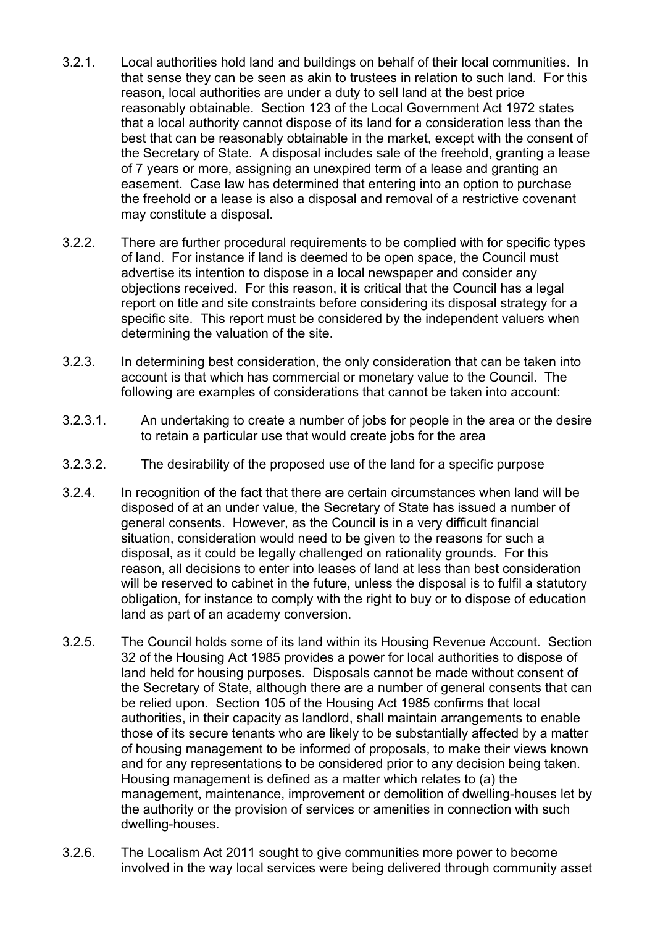- 3.2.1. Local authorities hold land and buildings on behalf of their local communities. In that sense they can be seen as akin to trustees in relation to such land. For this reason, local authorities are under a duty to sell land at the best price reasonably obtainable. Section 123 of the Local Government Act 1972 states that a local authority cannot dispose of its land for a consideration less than the best that can be reasonably obtainable in the market, except with the consent of the Secretary of State. A disposal includes sale of the freehold, granting a lease of 7 years or more, assigning an unexpired term of a lease and granting an easement. Case law has determined that entering into an option to purchase the freehold or a lease is also a disposal and removal of a restrictive covenant may constitute a disposal.
- 3.2.2. There are further procedural requirements to be complied with for specific types of land. For instance if land is deemed to be open space, the Council must advertise its intention to dispose in a local newspaper and consider any objections received. For this reason, it is critical that the Council has a legal report on title and site constraints before considering its disposal strategy for a specific site. This report must be considered by the independent valuers when determining the valuation of the site.
- 3.2.3. In determining best consideration, the only consideration that can be taken into account is that which has commercial or monetary value to the Council. The following are examples of considerations that cannot be taken into account:
- 3.2.3.1. An undertaking to create a number of jobs for people in the area or the desire to retain a particular use that would create jobs for the area
- 3.2.3.2. The desirability of the proposed use of the land for a specific purpose
- 3.2.4. In recognition of the fact that there are certain circumstances when land will be disposed of at an under value, the Secretary of State has issued a number of general consents. However, as the Council is in a very difficult financial situation, consideration would need to be given to the reasons for such a disposal, as it could be legally challenged on rationality grounds. For this reason, all decisions to enter into leases of land at less than best consideration will be reserved to cabinet in the future, unless the disposal is to fulfil a statutory obligation, for instance to comply with the right to buy or to dispose of education land as part of an academy conversion.
- 3.2.5. The Council holds some of its land within its Housing Revenue Account. Section 32 of the Housing Act 1985 provides a power for local authorities to dispose of land held for housing purposes. Disposals cannot be made without consent of the Secretary of State, although there are a number of general consents that can be relied upon. Section 105 of the Housing Act 1985 confirms that local authorities, in their capacity as landlord, shall maintain arrangements to enable those of its secure tenants who are likely to be substantially affected by a matter of housing management to be informed of proposals, to make their views known and for any representations to be considered prior to any decision being taken. Housing management is defined as a matter which relates to (a) the management, maintenance, improvement or demolition of dwelling-houses let by the authority or the provision of services or amenities in connection with such dwelling-houses.
- 3.2.6. The Localism Act 2011 sought to give communities more power to become involved in the way local services were being delivered through community asset